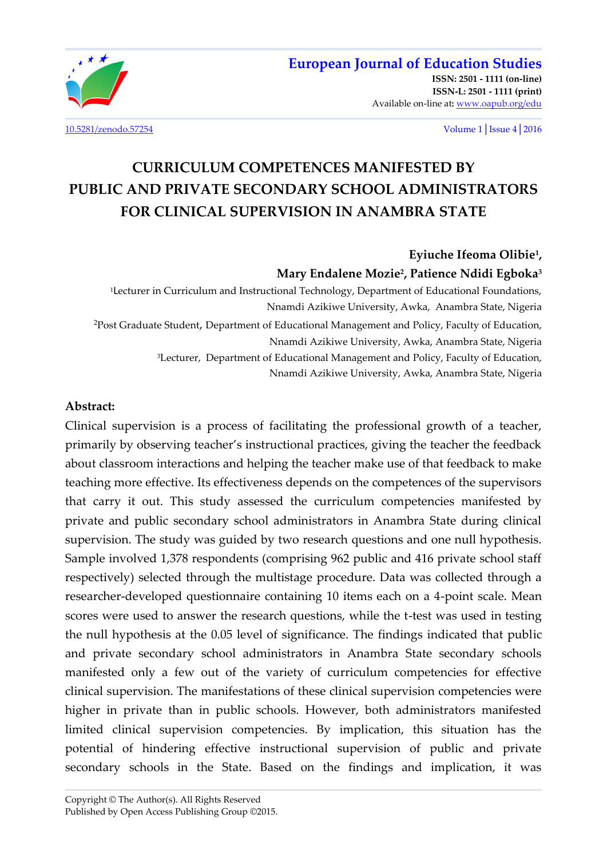

**[ISSN: 2501 - 1111 \(on-line\)](http://oapub.org/edu/index.php/ejes)  [ISSN-L: 2501 - 1111 \(print\)](http://oapub.org/edu/index.php/ejes)**  Available on-line at**:** [www.oapub.org/edu](http://www.oapub.org/edu)

[10.5281/zenodo.57254](http://dx.doi.org/10.5281/zenodo.57254) Volume 1│Issue 4│2016

# **CURRICULUM COMPETENCES MANIFESTED BY PUBLIC AND PRIVATE SECONDARY SCHOOL ADMINISTRATORS FOR CLINICAL SUPERVISION IN ANAMBRA STATE**

**Eyiuche Ifeoma Olibie<sup>1</sup> , Mary Endalene Mozie<sup>2</sup> , Patience Ndidi Egboka<sup>3</sup>** 

<sup>1</sup>Lecturer in Curriculum and Instructional Technology, Department of Educational Foundations, Nnamdi Azikiwe University, Awka, Anambra State, Nigeria <sup>2</sup>Post Graduate Student, Department of Educational Management and Policy, Faculty of Education, Nnamdi Azikiwe University, Awka, Anambra State, Nigeria <sup>3</sup>Lecturer, Department of Educational Management and Policy, Faculty of Education, Nnamdi Azikiwe University, Awka, Anambra State, Nigeria

#### **Abstract:**

Clinical supervision is a process of facilitating the professional growth of a teacher, primarily by observing teacher's instructional practices, giving the teacher the feedback about classroom interactions and helping the teacher make use of that feedback to make teaching more effective. Its effectiveness depends on the competences of the supervisors that carry it out. This study assessed the curriculum competencies manifested by private and public secondary school administrators in Anambra State during clinical supervision. The study was guided by two research questions and one null hypothesis. Sample involved 1,378 respondents (comprising 962 public and 416 private school staff respectively) selected through the multistage procedure. Data was collected through a researcher-developed questionnaire containing 10 items each on a 4-point scale. Mean scores were used to answer the research questions, while the t-test was used in testing the null hypothesis at the 0.05 level of significance. The findings indicated that public and private secondary school administrators in Anambra State secondary schools manifested only a few out of the variety of curriculum competencies for effective clinical supervision. The manifestations of these clinical supervision competencies were higher in private than in public schools. However, both administrators manifested limited clinical supervision competencies. By implication, this situation has the potential of hindering effective instructional supervision of public and private secondary schools in the State. Based on the findings and implication, it was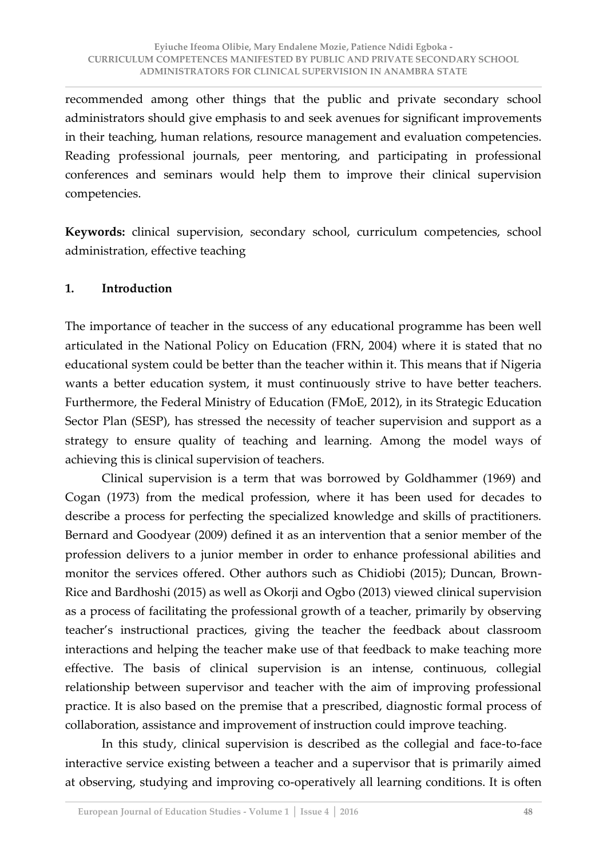recommended among other things that the public and private secondary school administrators should give emphasis to and seek avenues for significant improvements in their teaching, human relations, resource management and evaluation competencies. Reading professional journals, peer mentoring, and participating in professional conferences and seminars would help them to improve their clinical supervision competencies.

**Keywords:** clinical supervision, secondary school, curriculum competencies, school administration, effective teaching

## **1. Introduction**

The importance of teacher in the success of any educational programme has been well articulated in the National Policy on Education (FRN, 2004) where it is stated that no educational system could be better than the teacher within it. This means that if Nigeria wants a better education system, it must continuously strive to have better teachers. Furthermore, the Federal Ministry of Education (FMoE, 2012), in its Strategic Education Sector Plan (SESP), has stressed the necessity of teacher supervision and support as a strategy to ensure quality of teaching and learning. Among the model ways of achieving this is clinical supervision of teachers.

 Clinical supervision is a term that was borrowed by Goldhammer (1969) and Cogan (1973) from the medical profession, where it has been used for decades to describe a process for perfecting the specialized knowledge and skills of practitioners. Bernard and Goodyear (2009) defined it as an intervention that a senior member of the profession delivers to a junior member in order to enhance professional abilities and monitor the services offered. Other authors such as Chidiobi (2015); Duncan, Brown-Rice and Bardhoshi (2015) as well as Okorji and Ogbo (2013) viewed clinical supervision as a process of facilitating the professional growth of a teacher, primarily by observing teacher's instructional practices, giving the teacher the feedback about classroom interactions and helping the teacher make use of that feedback to make teaching more effective. The basis of clinical supervision is an intense, continuous, collegial relationship between supervisor and teacher with the aim of improving professional practice. It is also based on the premise that a prescribed, diagnostic formal process of collaboration, assistance and improvement of instruction could improve teaching.

 In this study, clinical supervision is described as the collegial and face-to-face interactive service existing between a teacher and a supervisor that is primarily aimed at observing, studying and improving co-operatively all learning conditions. It is often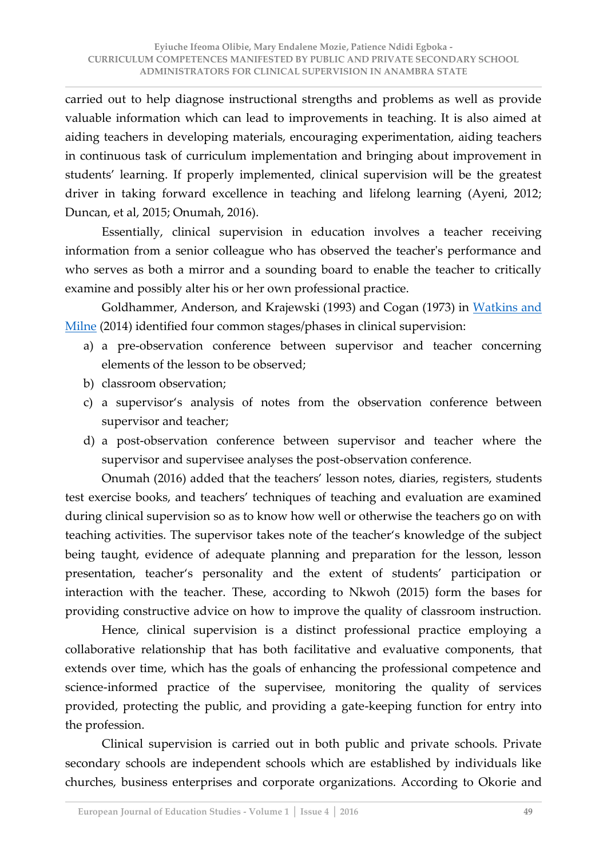carried out to help diagnose instructional strengths and problems as well as provide valuable information which can lead to improvements in teaching. It is also aimed at aiding teachers in developing materials, encouraging experimentation, aiding teachers in continuous task of curriculum implementation and bringing about improvement in students' learning. If properly implemented, clinical supervision will be the greatest driver in taking forward excellence in teaching and lifelong learning (Ayeni, 2012; Duncan, et al, 2015; Onumah, 2016).

 Essentially, clinical supervision in education involves a teacher receiving information from a senior colleague who has observed the teacher's performance and who serves as both a mirror and a sounding board to enable the teacher to critically examine and possibly alter his or her own professional practice.

Goldhammer, Anderson, and Krajewski (1993) and Cogan (1973) in Watkins and [Milne](http://eu.wiley.com/WileyCDA/Section/id-302479.html?query=Derek+L.+Milne) (2014) identified four common stages/phases in clinical supervision:

- a) a pre-observation conference between supervisor and teacher concerning elements of the lesson to be observed;
- b) classroom observation;
- c) a supervisor's analysis of notes from the observation conference between supervisor and teacher;
- d) a post-observation conference between supervisor and teacher where the supervisor and supervisee analyses the post-observation conference.

Onumah (2016) added that the teachers' lesson notes, diaries, registers, students test exercise books, and teachers' techniques of teaching and evaluation are examined during clinical supervision so as to know how well or otherwise the teachers go on with teaching activities. The supervisor takes note of the teacher's knowledge of the subject being taught, evidence of adequate planning and preparation for the lesson, lesson presentation, teacher's personality and the extent of students' participation or interaction with the teacher. These, according to Nkwoh (2015) form the bases for providing constructive advice on how to improve the quality of classroom instruction.

 Hence, clinical supervision is a distinct professional practice employing a collaborative relationship that has both facilitative and evaluative components, that extends over time, which has the goals of enhancing the professional competence and science-informed practice of the supervisee, monitoring the quality of services provided, protecting the public, and providing a gate-keeping function for entry into the profession.

 Clinical supervision is carried out in both public and private schools. Private secondary schools are independent schools which are established by individuals like churches, business enterprises and corporate organizations. According to Okorie and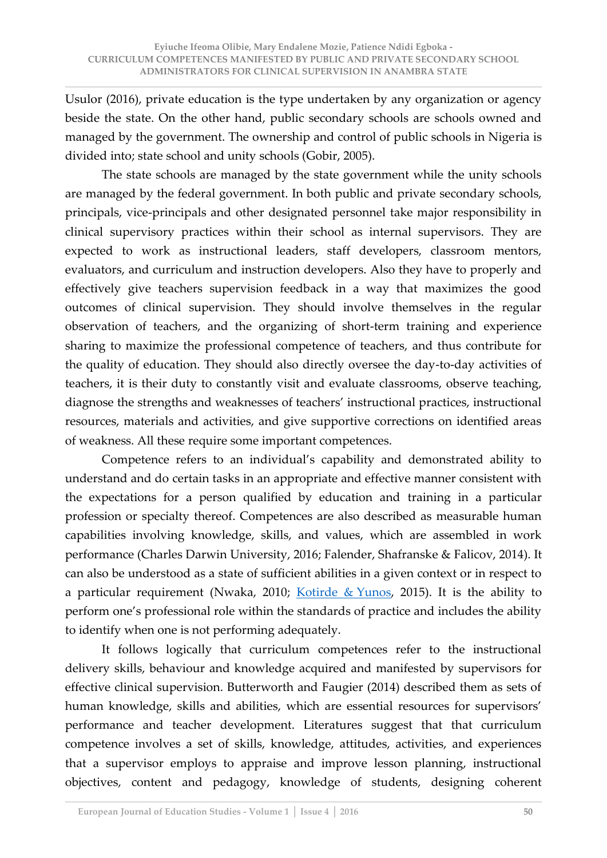Usulor (2016), private education is the type undertaken by any organization or agency beside the state. On the other hand, public secondary schools are schools owned and managed by the government. The ownership and control of public schools in Nigeria is divided into; state school and unity schools (Gobir, 2005).

 The state schools are managed by the state government while the unity schools are managed by the federal government. In both public and private secondary schools, principals, vice-principals and other designated personnel take major responsibility in clinical supervisory practices within their school as internal supervisors. They are expected to work as instructional leaders, staff developers, classroom mentors, evaluators, and curriculum and instruction developers. Also they have to properly and effectively give teachers supervision feedback in a way that maximizes the good outcomes of clinical supervision. They should involve themselves in the regular observation of teachers, and the organizing of short-term training and experience sharing to maximize the professional competence of teachers, and thus contribute for the quality of education. They should also directly oversee the day-to-day activities of teachers, it is their duty to constantly visit and evaluate classrooms, observe teaching, diagnose the strengths and weaknesses of teachers' instructional practices, instructional resources, materials and activities, and give supportive corrections on identified areas of weakness. All these require some important competences.

Competence refers to an individual's capability and demonstrated ability to understand and do certain tasks in an appropriate and effective manner consistent with the expectations for a person qualified by education and training in a particular profession or specialty thereof. Competences are also described as measurable human capabilities involving knowledge, skills, and values, which are assembled in work performance (Charles Darwin University, 2016; Falender, Shafranske & Falicov, 2014). It can also be understood as a state of sufficient abilities in a given context or in respect to a particular requirement (Nwaka, 2010; [Kotirde & Yunos,](http://www.sciencedirect.com/science/article/pii/S1877042815047977) 2015). It is the ability to perform one's professional role within the standards of practice and includes the ability to identify when one is not performing adequately.

 It follows logically that curriculum competences refer to the instructional delivery skills, behaviour and knowledge acquired and manifested by supervisors for effective clinical supervision. Butterworth and Faugier (2014) described them as sets of human knowledge, skills and abilities, which are essential resources for supervisors' performance and teacher development. Literatures suggest that that curriculum competence involves a set of skills, knowledge, attitudes, activities, and experiences that a supervisor employs to appraise and improve lesson planning, instructional objectives, content and pedagogy, knowledge of students, designing coherent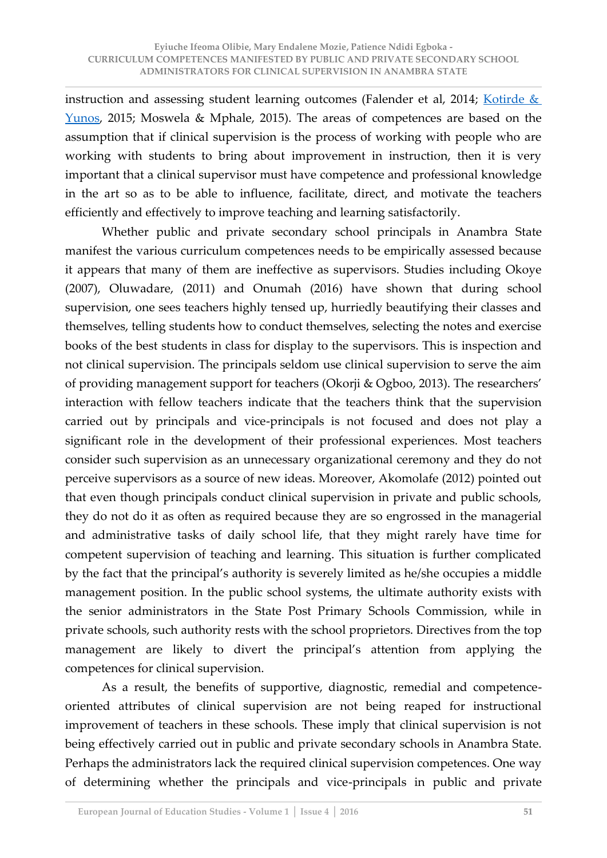instruction and assessing student learning outcomes (Falender et al, 2014; [Kotirde &](http://www.sciencedirect.com/science/article/pii/S1877042815047977)  [Yunos,](http://www.sciencedirect.com/science/article/pii/S1877042815047977) 2015; Moswela & Mphale, 2015). The areas of competences are based on the assumption that if clinical supervision is the process of working with people who are working with students to bring about improvement in instruction, then it is very important that a clinical supervisor must have competence and professional knowledge in the art so as to be able to influence, facilitate, direct, and motivate the teachers efficiently and effectively to improve teaching and learning satisfactorily.

 Whether public and private secondary school principals in Anambra State manifest the various curriculum competences needs to be empirically assessed because it appears that many of them are ineffective as supervisors. Studies including Okoye (2007), Oluwadare, (2011) and Onumah (2016) have shown that during school supervision, one sees teachers highly tensed up, hurriedly beautifying their classes and themselves, telling students how to conduct themselves, selecting the notes and exercise books of the best students in class for display to the supervisors. This is inspection and not clinical supervision. The principals seldom use clinical supervision to serve the aim of providing management support for teachers (Okorji & Ogboo, 2013). The researchers' interaction with fellow teachers indicate that the teachers think that the supervision carried out by principals and vice-principals is not focused and does not play a significant role in the development of their professional experiences. Most teachers consider such supervision as an unnecessary organizational ceremony and they do not perceive supervisors as a source of new ideas. Moreover, Akomolafe (2012) pointed out that even though principals conduct clinical supervision in private and public schools, they do not do it as often as required because they are so engrossed in the managerial and administrative tasks of daily school life, that they might rarely have time for competent supervision of teaching and learning. This situation is further complicated by the fact that the principal's authority is severely limited as he/she occupies a middle management position. In the public school systems, the ultimate authority exists with the senior administrators in the State Post Primary Schools Commission, while in private schools, such authority rests with the school proprietors. Directives from the top management are likely to divert the principal's attention from applying the competences for clinical supervision.

 As a result, the benefits of supportive, diagnostic, remedial and competenceoriented attributes of clinical supervision are not being reaped for instructional improvement of teachers in these schools. These imply that clinical supervision is not being effectively carried out in public and private secondary schools in Anambra State. Perhaps the administrators lack the required clinical supervision competences. One way of determining whether the principals and vice-principals in public and private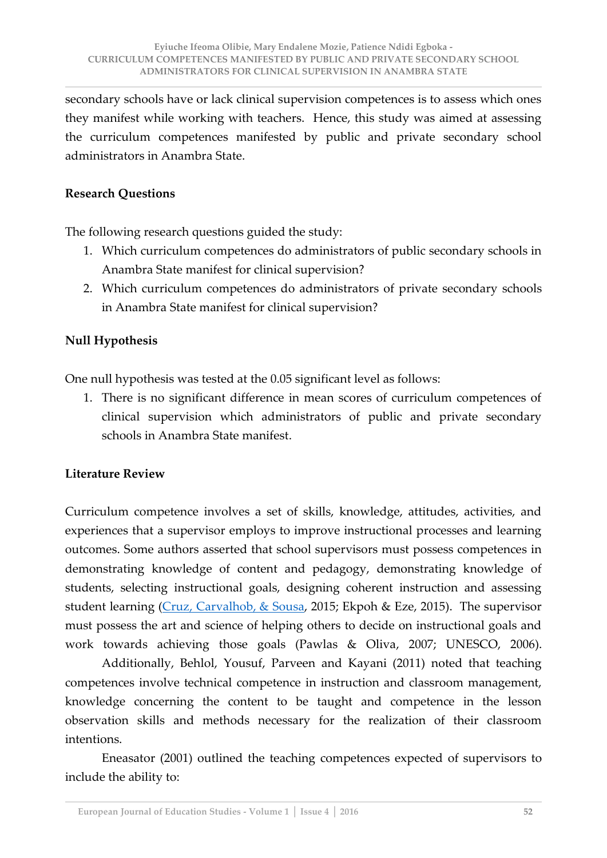secondary schools have or lack clinical supervision competences is to assess which ones they manifest while working with teachers. Hence, this study was aimed at assessing the curriculum competences manifested by public and private secondary school administrators in Anambra State.

#### **Research Questions**

The following research questions guided the study:

- 1. Which curriculum competences do administrators of public secondary schools in Anambra State manifest for clinical supervision?
- 2. Which curriculum competences do administrators of private secondary schools in Anambra State manifest for clinical supervision?

## **Null Hypothesis**

One null hypothesis was tested at the 0.05 significant level as follows:

1. There is no significant difference in mean scores of curriculum competences of clinical supervision which administrators of public and private secondary schools in Anambra State manifest.

## **Literature Review**

Curriculum competence involves a set of skills, knowledge, attitudes, activities, and experiences that a supervisor employs to improve instructional processes and learning outcomes. Some authors asserted that school supervisors must possess competences in demonstrating knowledge of content and pedagogy, demonstrating knowledge of students, selecting instructional goals, designing coherent instruction and assessing student learning [\(Cruz, Carvalhob, & Sousa,](http://www.sciencedirect.com/science/article/pii/S1877042815001317) 2015; Ekpoh & Eze, 2015). The supervisor must possess the art and science of helping others to decide on instructional goals and work towards achieving those goals (Pawlas & Oliva, 2007; UNESCO, 2006).

 Additionally, Behlol, Yousuf, Parveen and Kayani (2011) noted that teaching competences involve technical competence in instruction and classroom management, knowledge concerning the content to be taught and competence in the lesson observation skills and methods necessary for the realization of their classroom intentions.

 Eneasator (2001) outlined the teaching competences expected of supervisors to include the ability to: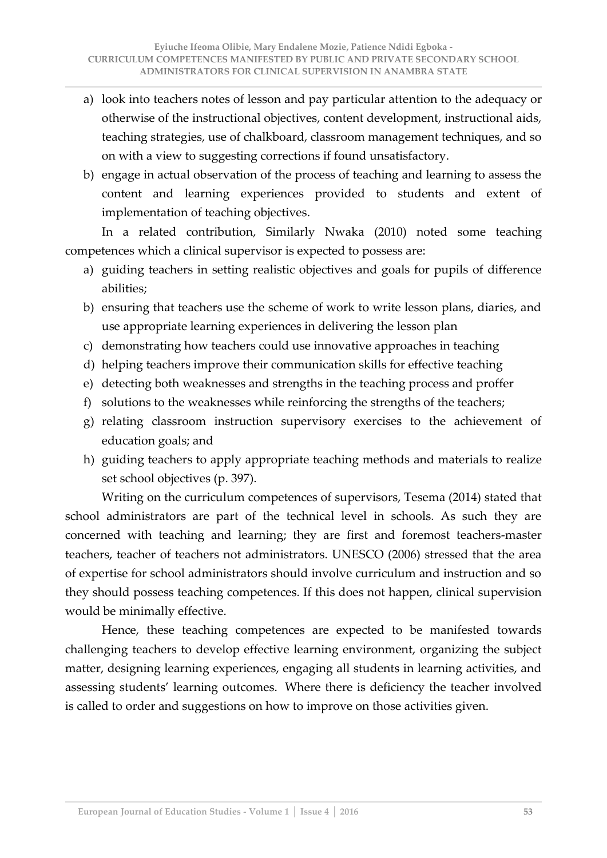- a) look into teachers notes of lesson and pay particular attention to the adequacy or otherwise of the instructional objectives, content development, instructional aids, teaching strategies, use of chalkboard, classroom management techniques, and so on with a view to suggesting corrections if found unsatisfactory.
- b) engage in actual observation of the process of teaching and learning to assess the content and learning experiences provided to students and extent of implementation of teaching objectives.

 In a related contribution, Similarly Nwaka (2010) noted some teaching competences which a clinical supervisor is expected to possess are:

- a) guiding teachers in setting realistic objectives and goals for pupils of difference abilities;
- b) ensuring that teachers use the scheme of work to write lesson plans, diaries, and use appropriate learning experiences in delivering the lesson plan
- c) demonstrating how teachers could use innovative approaches in teaching
- d) helping teachers improve their communication skills for effective teaching
- e) detecting both weaknesses and strengths in the teaching process and proffer
- f) solutions to the weaknesses while reinforcing the strengths of the teachers;
- g) relating classroom instruction supervisory exercises to the achievement of education goals; and
- h) guiding teachers to apply appropriate teaching methods and materials to realize set school objectives (p. 397).

 Writing on the curriculum competences of supervisors, Tesema (2014) stated that school administrators are part of the technical level in schools. As such they are concerned with teaching and learning; they are first and foremost teachers-master teachers, teacher of teachers not administrators. UNESCO (2006) stressed that the area of expertise for school administrators should involve curriculum and instruction and so they should possess teaching competences. If this does not happen, clinical supervision would be minimally effective.

 Hence, these teaching competences are expected to be manifested towards challenging teachers to develop effective learning environment, organizing the subject matter, designing learning experiences, engaging all students in learning activities, and assessing students' learning outcomes. Where there is deficiency the teacher involved is called to order and suggestions on how to improve on those activities given.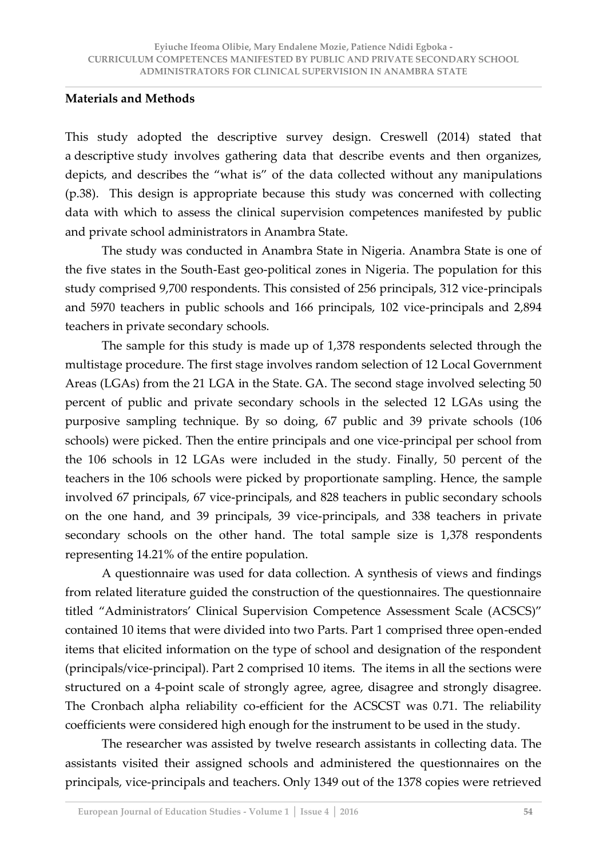#### **Materials and Methods**

This study adopted the descriptive survey design. Creswell (2014) stated that a descriptive study involves gathering data that describe events and then organizes, depicts, and describes the "what is" of the data collected without any manipulations (p.38). This design is appropriate because this study was concerned with collecting data with which to assess the clinical supervision competences manifested by public and private school administrators in Anambra State.

 The study was conducted in Anambra State in Nigeria. Anambra State is one of the five states in the South-East geo-political zones in Nigeria. The population for this study comprised 9,700 respondents. This consisted of 256 principals, 312 vice-principals and 5970 teachers in public schools and 166 principals, 102 vice-principals and 2,894 teachers in private secondary schools.

 The sample for this study is made up of 1,378 respondents selected through the multistage procedure. The first stage involves random selection of 12 Local Government Areas (LGAs) from the 21 LGA in the State. GA. The second stage involved selecting 50 percent of public and private secondary schools in the selected 12 LGAs using the purposive sampling technique. By so doing, 67 public and 39 private schools (106 schools) were picked. Then the entire principals and one vice-principal per school from the 106 schools in 12 LGAs were included in the study. Finally, 50 percent of the teachers in the 106 schools were picked by proportionate sampling. Hence, the sample involved 67 principals, 67 vice-principals, and 828 teachers in public secondary schools on the one hand, and 39 principals, 39 vice-principals, and 338 teachers in private secondary schools on the other hand. The total sample size is 1,378 respondents representing 14.21% of the entire population.

A questionnaire was used for data collection. A synthesis of views and findings from related literature guided the construction of the questionnaires. The questionnaire titled "Administrators' Clinical Supervision Competence Assessment Scale (ACSCS)" contained 10 items that were divided into two Parts. Part 1 comprised three open-ended items that elicited information on the type of school and designation of the respondent (principals/vice-principal). Part 2 comprised 10 items. The items in all the sections were structured on a 4-point scale of strongly agree, agree, disagree and strongly disagree. The Cronbach alpha reliability co-efficient for the ACSCST was 0.71. The reliability coefficients were considered high enough for the instrument to be used in the study.

 The researcher was assisted by twelve research assistants in collecting data. The assistants visited their assigned schools and administered the questionnaires on the principals, vice-principals and teachers. Only 1349 out of the 1378 copies were retrieved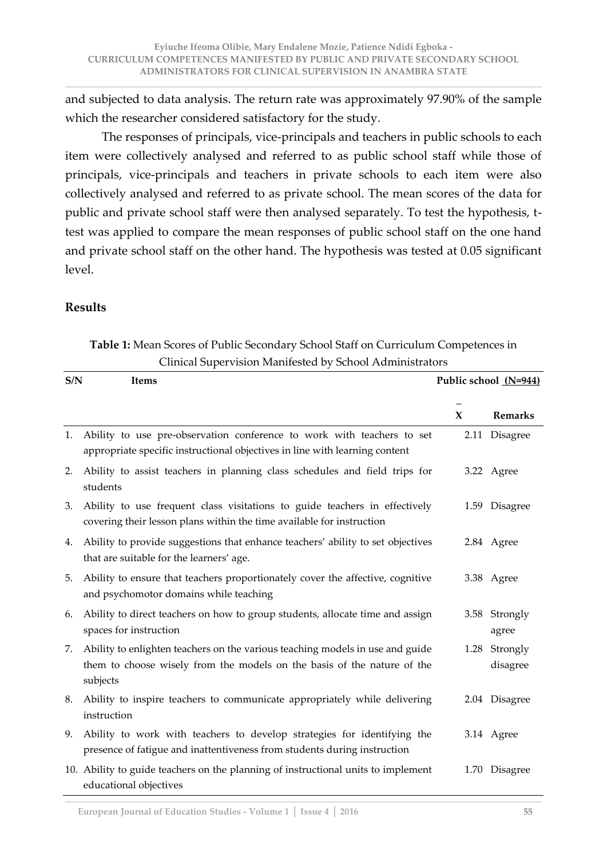and subjected to data analysis. The return rate was approximately 97.90% of the sample which the researcher considered satisfactory for the study.

 The responses of principals, vice-principals and teachers in public schools to each item were collectively analysed and referred to as public school staff while those of principals, vice-principals and teachers in private schools to each item were also collectively analysed and referred to as private school. The mean scores of the data for public and private school staff were then analysed separately. To test the hypothesis, ttest was applied to compare the mean responses of public school staff on the one hand and private school staff on the other hand. The hypothesis was tested at 0.05 significant level.

#### **Results**

# **Table 1:** Mean Scores of Public Secondary School Staff on Curriculum Competences in Clinical Supervision Manifested by School Administrators

| S/N | <b>Items</b>                                                                                                                                                         |      | Public school (N=944)  |  |  |  |
|-----|----------------------------------------------------------------------------------------------------------------------------------------------------------------------|------|------------------------|--|--|--|
|     |                                                                                                                                                                      | X    | <b>Remarks</b>         |  |  |  |
| 1.  | Ability to use pre-observation conference to work with teachers to set<br>appropriate specific instructional objectives in line with learning content                |      | 2.11 Disagree          |  |  |  |
| 2.  | Ability to assist teachers in planning class schedules and field trips for<br>students                                                                               |      | 3.22 Agree             |  |  |  |
| 3.  | Ability to use frequent class visitations to guide teachers in effectively<br>covering their lesson plans within the time available for instruction                  |      | 1.59 Disagree          |  |  |  |
| 4.  | Ability to provide suggestions that enhance teachers' ability to set objectives<br>that are suitable for the learners' age.                                          |      | 2.84 Agree             |  |  |  |
| 5.  | Ability to ensure that teachers proportionately cover the affective, cognitive<br>and psychomotor domains while teaching                                             |      | 3.38 Agree             |  |  |  |
| 6.  | Ability to direct teachers on how to group students, allocate time and assign<br>spaces for instruction                                                              |      | 3.58 Strongly<br>agree |  |  |  |
| 7.  | Ability to enlighten teachers on the various teaching models in use and guide<br>them to choose wisely from the models on the basis of the nature of the<br>subjects | 1.28 | Strongly<br>disagree   |  |  |  |
| 8.  | Ability to inspire teachers to communicate appropriately while delivering<br>instruction                                                                             |      | 2.04 Disagree          |  |  |  |
| 9.  | Ability to work with teachers to develop strategies for identifying the<br>presence of fatigue and inattentiveness from students during instruction                  |      | 3.14 Agree             |  |  |  |
|     | 10. Ability to guide teachers on the planning of instructional units to implement<br>educational objectives                                                          | 1.70 | Disagree               |  |  |  |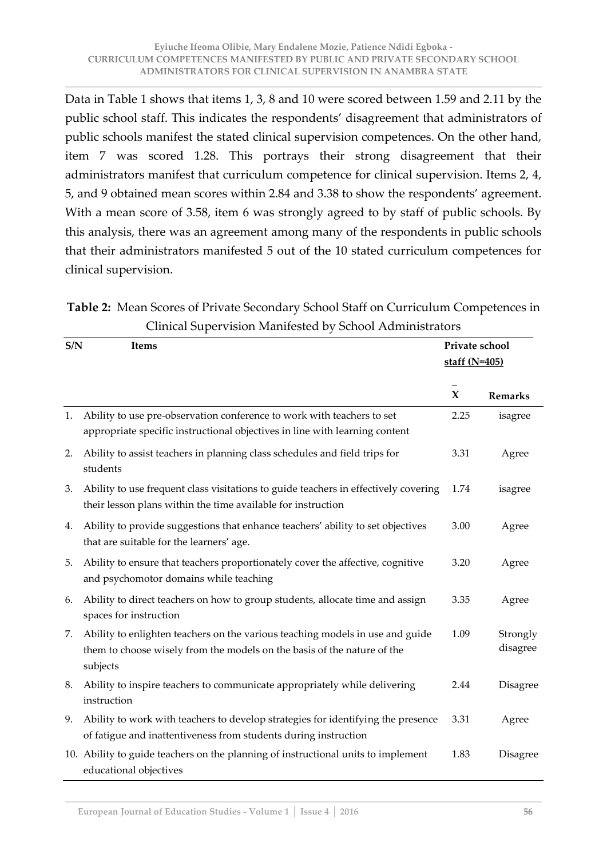Data in Table 1 shows that items 1, 3, 8 and 10 were scored between 1.59 and 2.11 by the public school staff. This indicates the respondents' disagreement that administrators of public schools manifest the stated clinical supervision competences. On the other hand, item 7 was scored 1.28. This portrays their strong disagreement that their administrators manifest that curriculum competence for clinical supervision. Items 2, 4, 5, and 9 obtained mean scores within 2.84 and 3.38 to show the respondents' agreement. With a mean score of 3.58, item 6 was strongly agreed to by staff of public schools. By this analysis, there was an agreement among many of the respondents in public schools that their administrators manifested 5 out of the 10 stated curriculum competences for clinical supervision.

|                                                          | Table 2: Mean Scores of Private Secondary School Staff on Curriculum Competences in |  |  |  |  |  |
|----------------------------------------------------------|-------------------------------------------------------------------------------------|--|--|--|--|--|
| Clinical Supervision Manifested by School Administrators |                                                                                     |  |  |  |  |  |

| S/N | <b>Items</b>                                                                                                                                                         | Private school<br>staff $(N=405)$ |                      |  |
|-----|----------------------------------------------------------------------------------------------------------------------------------------------------------------------|-----------------------------------|----------------------|--|
|     |                                                                                                                                                                      | $\mathbf x$                       | <b>Remarks</b>       |  |
| 1.  | Ability to use pre-observation conference to work with teachers to set<br>appropriate specific instructional objectives in line with learning content                | 2.25                              | isagree              |  |
| 2.  | Ability to assist teachers in planning class schedules and field trips for<br>students                                                                               | 3.31                              | Agree                |  |
| 3.  | Ability to use frequent class visitations to guide teachers in effectively covering<br>their lesson plans within the time available for instruction                  | 1.74                              | isagree              |  |
| 4.  | Ability to provide suggestions that enhance teachers' ability to set objectives<br>that are suitable for the learners' age.                                          | 3.00                              | Agree                |  |
| 5.  | Ability to ensure that teachers proportionately cover the affective, cognitive<br>and psychomotor domains while teaching                                             | 3.20                              | Agree                |  |
| 6.  | Ability to direct teachers on how to group students, allocate time and assign<br>spaces for instruction                                                              | 3.35                              | Agree                |  |
| 7.  | Ability to enlighten teachers on the various teaching models in use and guide<br>them to choose wisely from the models on the basis of the nature of the<br>subjects | 1.09                              | Strongly<br>disagree |  |
| 8.  | Ability to inspire teachers to communicate appropriately while delivering<br>instruction                                                                             | 2.44                              | Disagree             |  |
| 9.  | Ability to work with teachers to develop strategies for identifying the presence<br>of fatigue and inattentiveness from students during instruction                  | 3.31                              | Agree                |  |
|     | 10. Ability to guide teachers on the planning of instructional units to implement<br>educational objectives                                                          | 1.83                              | <b>Disagree</b>      |  |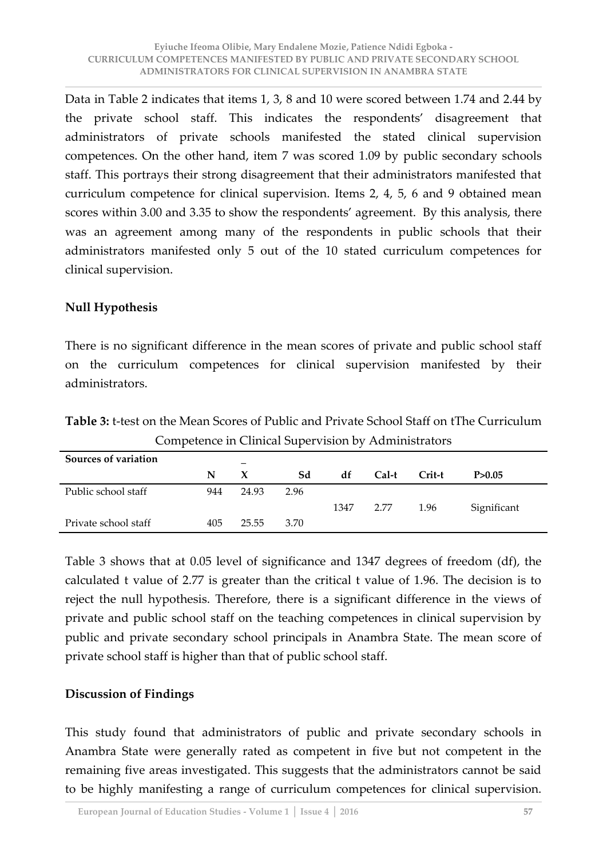Data in Table 2 indicates that items 1, 3, 8 and 10 were scored between 1.74 and 2.44 by the private school staff. This indicates the respondents' disagreement that administrators of private schools manifested the stated clinical supervision competences. On the other hand, item 7 was scored 1.09 by public secondary schools staff. This portrays their strong disagreement that their administrators manifested that curriculum competence for clinical supervision. Items 2, 4, 5, 6 and 9 obtained mean scores within 3.00 and 3.35 to show the respondents' agreement. By this analysis, there was an agreement among many of the respondents in public schools that their administrators manifested only 5 out of the 10 stated curriculum competences for clinical supervision.

## **Null Hypothesis**

There is no significant difference in the mean scores of private and public school staff on the curriculum competences for clinical supervision manifested by their administrators.

| Sources of variation |     |       |      |      |       |        |             |  |
|----------------------|-----|-------|------|------|-------|--------|-------------|--|
|                      | N   | X     | Sd   | df   | Cal-t | Crit-t | P > 0.05    |  |
| Public school staff  | 944 | 24.93 | 2.96 |      |       |        |             |  |
|                      |     |       |      | 1347 | 2.77  | 1.96   | Significant |  |
| Private school staff | 405 | 25.55 | 3.70 |      |       |        |             |  |

**Table 3:** t-test on the Mean Scores of Public and Private School Staff on tThe Curriculum Competence in Clinical Supervision by Administrators

Table 3 shows that at 0.05 level of significance and 1347 degrees of freedom (df), the calculated t value of 2.77 is greater than the critical t value of 1.96. The decision is to reject the null hypothesis. Therefore, there is a significant difference in the views of private and public school staff on the teaching competences in clinical supervision by public and private secondary school principals in Anambra State. The mean score of private school staff is higher than that of public school staff.

## **Discussion of Findings**

This study found that administrators of public and private secondary schools in Anambra State were generally rated as competent in five but not competent in the remaining five areas investigated. This suggests that the administrators cannot be said to be highly manifesting a range of curriculum competences for clinical supervision.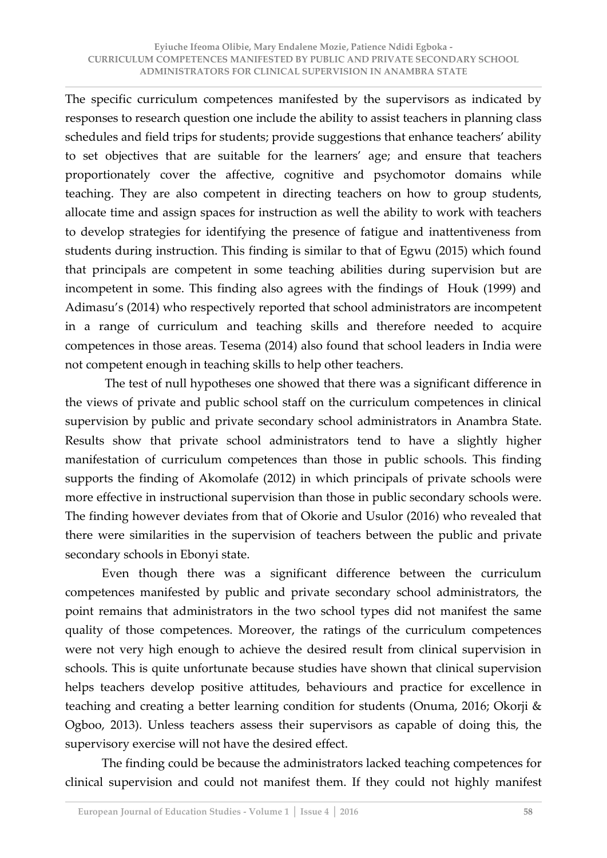The specific curriculum competences manifested by the supervisors as indicated by responses to research question one include the ability to assist teachers in planning class schedules and field trips for students; provide suggestions that enhance teachers' ability to set objectives that are suitable for the learners' age; and ensure that teachers proportionately cover the affective, cognitive and psychomotor domains while teaching. They are also competent in directing teachers on how to group students, allocate time and assign spaces for instruction as well the ability to work with teachers to develop strategies for identifying the presence of fatigue and inattentiveness from students during instruction. This finding is similar to that of Egwu (2015) which found that principals are competent in some teaching abilities during supervision but are incompetent in some. This finding also agrees with the findings of Houk (1999) and Adimasu's (2014) who respectively reported that school administrators are incompetent in a range of curriculum and teaching skills and therefore needed to acquire competences in those areas. Tesema (2014) also found that school leaders in India were not competent enough in teaching skills to help other teachers.

 The test of null hypotheses one showed that there was a significant difference in the views of private and public school staff on the curriculum competences in clinical supervision by public and private secondary school administrators in Anambra State. Results show that private school administrators tend to have a slightly higher manifestation of curriculum competences than those in public schools. This finding supports the finding of Akomolafe (2012) in which principals of private schools were more effective in instructional supervision than those in public secondary schools were. The finding however deviates from that of Okorie and Usulor (2016) who revealed that there were similarities in the supervision of teachers between the public and private secondary schools in Ebonyi state.

 Even though there was a significant difference between the curriculum competences manifested by public and private secondary school administrators, the point remains that administrators in the two school types did not manifest the same quality of those competences. Moreover, the ratings of the curriculum competences were not very high enough to achieve the desired result from clinical supervision in schools. This is quite unfortunate because studies have shown that clinical supervision helps teachers develop positive attitudes, behaviours and practice for excellence in teaching and creating a better learning condition for students (Onuma, 2016; Okorji & Ogboo, 2013). Unless teachers assess their supervisors as capable of doing this, the supervisory exercise will not have the desired effect.

 The finding could be because the administrators lacked teaching competences for clinical supervision and could not manifest them. If they could not highly manifest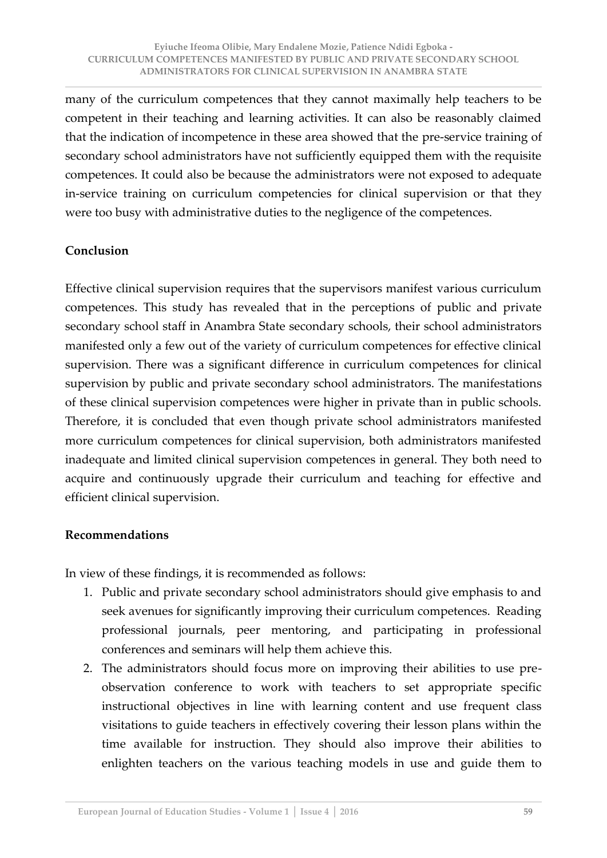many of the curriculum competences that they cannot maximally help teachers to be competent in their teaching and learning activities. It can also be reasonably claimed that the indication of incompetence in these area showed that the pre-service training of secondary school administrators have not sufficiently equipped them with the requisite competences. It could also be because the administrators were not exposed to adequate in-service training on curriculum competencies for clinical supervision or that they were too busy with administrative duties to the negligence of the competences.

# **Conclusion**

Effective clinical supervision requires that the supervisors manifest various curriculum competences. This study has revealed that in the perceptions of public and private secondary school staff in Anambra State secondary schools, their school administrators manifested only a few out of the variety of curriculum competences for effective clinical supervision. There was a significant difference in curriculum competences for clinical supervision by public and private secondary school administrators. The manifestations of these clinical supervision competences were higher in private than in public schools. Therefore, it is concluded that even though private school administrators manifested more curriculum competences for clinical supervision, both administrators manifested inadequate and limited clinical supervision competences in general. They both need to acquire and continuously upgrade their curriculum and teaching for effective and efficient clinical supervision.

# **Recommendations**

In view of these findings, it is recommended as follows:

- 1. Public and private secondary school administrators should give emphasis to and seek avenues for significantly improving their curriculum competences. Reading professional journals, peer mentoring, and participating in professional conferences and seminars will help them achieve this.
- 2. The administrators should focus more on improving their abilities to use preobservation conference to work with teachers to set appropriate specific instructional objectives in line with learning content and use frequent class visitations to guide teachers in effectively covering their lesson plans within the time available for instruction. They should also improve their abilities to enlighten teachers on the various teaching models in use and guide them to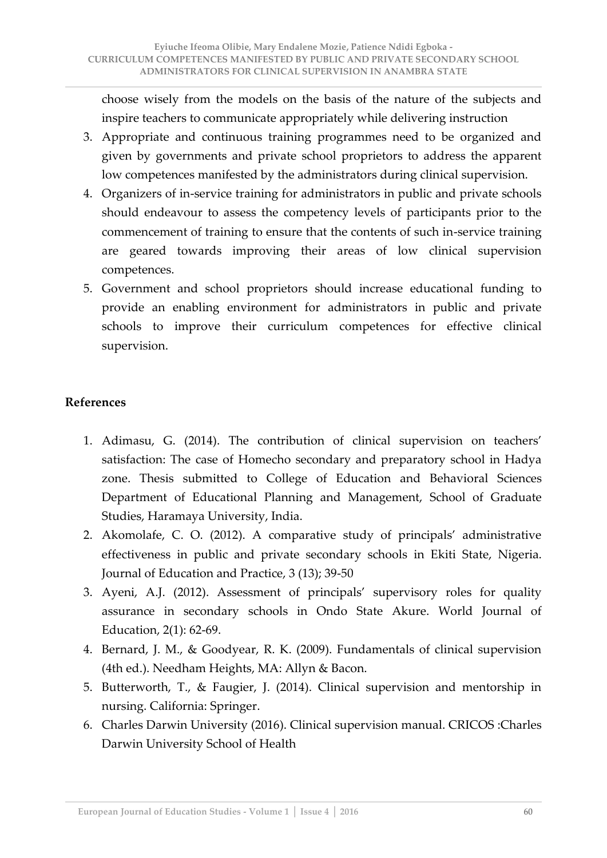choose wisely from the models on the basis of the nature of the subjects and inspire teachers to communicate appropriately while delivering instruction

- 3. Appropriate and continuous training programmes need to be organized and given by governments and private school proprietors to address the apparent low competences manifested by the administrators during clinical supervision.
- 4. Organizers of in-service training for administrators in public and private schools should endeavour to assess the competency levels of participants prior to the commencement of training to ensure that the contents of such in-service training are geared towards improving their areas of low clinical supervision competences.
- 5. Government and school proprietors should increase educational funding to provide an enabling environment for administrators in public and private schools to improve their curriculum competences for effective clinical supervision.

# **References**

- 1. Adimasu, G. (2014). The contribution of clinical supervision on teachers' satisfaction: The case of Homecho secondary and preparatory school in Hadya zone. Thesis submitted to College of Education and Behavioral Sciences Department of Educational Planning and Management, School of Graduate Studies, Haramaya University, India.
- 2. Akomolafe, C. O. (2012). A comparative study of principals' administrative effectiveness in public and private secondary schools in Ekiti State, Nigeria. Journal of Education and Practice, 3 (13); 39-50
- 3. Ayeni, A.J. (2012). Assessment of principals' supervisory roles for quality assurance in secondary schools in Ondo State Akure. World Journal of Education, 2(1): 62-69.
- 4. Bernard, J. M., & Goodyear, R. K. (2009). Fundamentals of clinical supervision (4th ed.). Needham Heights, MA: Allyn & Bacon.
- 5. Butterworth, T., & Faugier, J. (2014). Clinical supervision and mentorship in nursing. California: Springer.
- 6. Charles Darwin University (2016). Clinical supervision manual. CRICOS :Charles Darwin University School of Health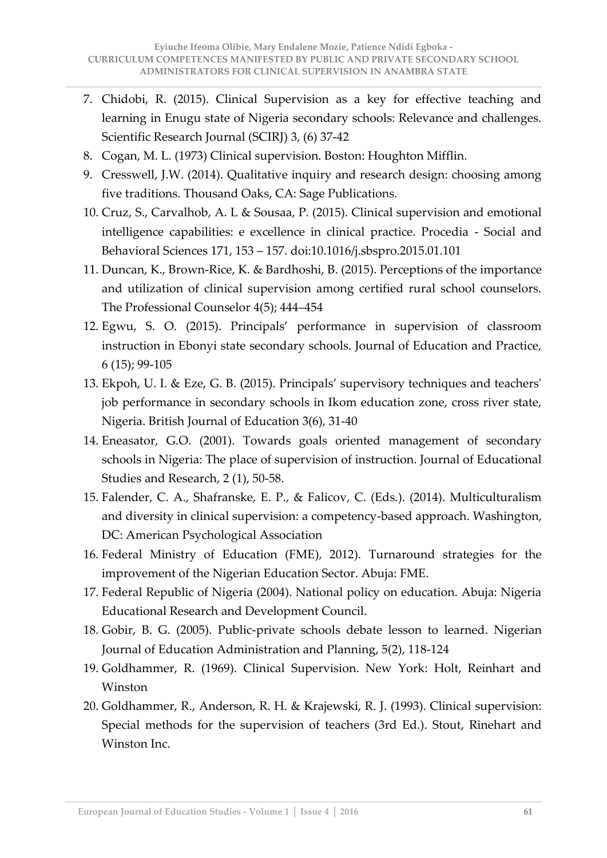- 7. Chidobi, R. (2015). Clinical Supervision as a key for effective teaching and learning in Enugu state of Nigeria secondary schools: Relevance and challenges. Scientific Research Journal (SCIRJ) 3, (6) 37-42
- 8. Cogan, M. L. (1973) Clinical supervision. Boston: Houghton Mifflin.
- 9. Cresswell, J.W. (2014). Qualitative inquiry and research design: choosing among five traditions. Thousand Oaks, CA: Sage Publications.
- 10. Cruz, S., Carvalhob, A. L & Sousaa, P. (2015). Clinical supervision and emotional intelligence capabilities: e excellence in clinical practice. Procedia - Social and Behavioral Sciences 171, 153 – 157. doi:10.1016/j.sbspro.2015.01.101
- 11. Duncan, K., Brown-Rice, K. & Bardhoshi, B. (2015). Perceptions of the importance and utilization of clinical supervision among certified rural school counselors. The Professional Counselor 4(5); 444–454
- 12. Egwu, S. O. (2015). Principals' performance in supervision of classroom instruction in Ebonyi state secondary schools. Journal of Education and Practice, 6 (15); 99-105
- 13. Ekpoh, U. I. & Eze, G. B. (2015). Principals' supervisory techniques and teachers' job performance in secondary schools in Ikom education zone, cross river state, Nigeria. British Journal of Education 3(6), 31-40
- 14. Eneasator, G.O. (2001). Towards goals oriented management of secondary schools in Nigeria: The place of supervision of instruction. Journal of Educational Studies and Research, 2 (1), 50-58.
- 15. Falender, C. A., Shafranske, E. P., & Falicov, C. (Eds.). (2014). Multiculturalism and diversity in clinical supervision: a competency-based approach. Washington, DC: American Psychological Association
- 16. Federal Ministry of Education (FME), 2012). Turnaround strategies for the improvement of the Nigerian Education Sector. Abuja: FME.
- 17. Federal Republic of Nigeria (2004). National policy on education. Abuja: Nigeria Educational Research and Development Council.
- 18. Gobir, B. G. (2005). Public-private schools debate lesson to learned. Nigerian Journal of Education Administration and Planning, 5(2), 118-124
- 19. Goldhammer, R. (1969). Clinical Supervision. New York: Holt, Reinhart and Winston
- 20. Goldhammer, R., Anderson, R. H. & Krajewski, R. J. (1993). Clinical supervision: Special methods for the supervision of teachers (3rd Ed.). Stout, Rinehart and Winston Inc.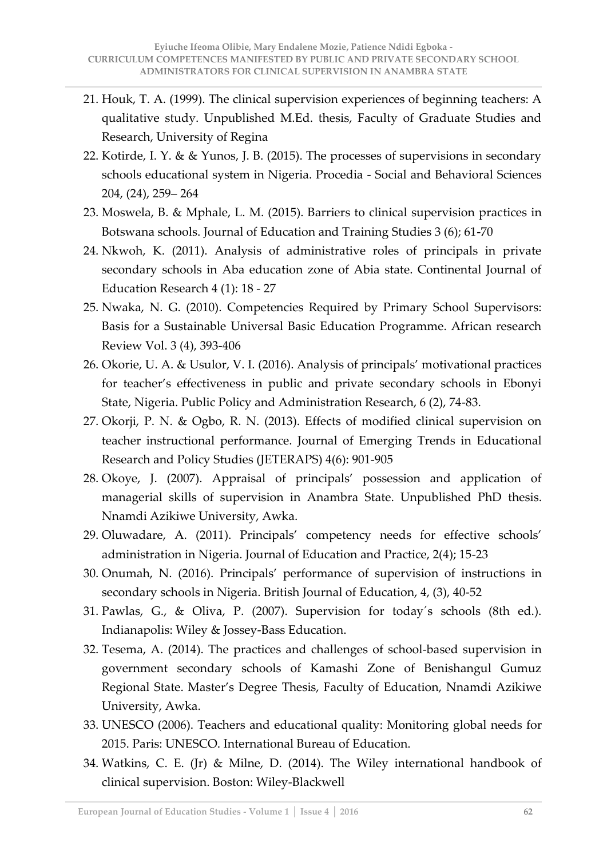- 21. Houk, T. A. (1999). The clinical supervision experiences of beginning teachers: A qualitative study. Unpublished M.Ed. thesis, Faculty of Graduate Studies and Research, University of Regina
- 22. Kotirde, I. Y. & & Yunos, J. B. (2015). The processes of supervisions in secondary schools educational system in Nigeria. Procedia - Social and Behavioral Sciences 204, (24), 259– 264
- 23. Moswela, B. & Mphale, L. M. (2015). Barriers to clinical supervision practices in Botswana schools. Journal of Education and Training Studies 3 (6); 61-70
- 24. Nkwoh, K. (2011). Analysis of administrative roles of principals in private secondary schools in Aba education zone of Abia state. Continental Journal of Education Research 4 (1): 18 - 27
- 25. Nwaka, N. G. (2010). Competencies Required by Primary School Supervisors: Basis for a Sustainable Universal Basic Education Programme. African research Review Vol. 3 (4), 393-406
- 26. Okorie, U. A. & Usulor, V. I. (2016). Analysis of principals' motivational practices for teacher's effectiveness in public and private secondary schools in Ebonyi State, Nigeria. Public Policy and Administration Research, 6 (2), 74-83.
- 27. Okorji, P. N. & Ogbo, R. N. (2013). Effects of modified clinical supervision on teacher instructional performance. Journal of Emerging Trends in Educational Research and Policy Studies (JETERAPS) 4(6): 901-905
- 28. Okoye, J. (2007). Appraisal of principals' possession and application of managerial skills of supervision in Anambra State. Unpublished PhD thesis. Nnamdi Azikiwe University, Awka.
- 29. Oluwadare, A. (2011). Principals' competency needs for effective schools' administration in Nigeria. Journal of Education and Practice, 2(4); 15-23
- 30. Onumah, N. (2016). Principals' performance of supervision of instructions in secondary schools in Nigeria. British Journal of Education, 4, (3), 40-52
- 31. Pawlas, G., & Oliva, P. (2007). Supervision for today´s schools (8th ed.). Indianapolis: Wiley & Jossey-Bass Education.
- 32. Tesema, A. (2014). The practices and challenges of school-based supervision in government secondary schools of Kamashi Zone of Benishangul Gumuz Regional State. Master's Degree Thesis, Faculty of Education, Nnamdi Azikiwe University, Awka.
- 33. UNESCO (2006). Teachers and educational quality: Monitoring global needs for 2015. Paris: UNESCO. International Bureau of Education.
- 34. Watkins, C. E. (Jr) & Milne, D. (2014). The Wiley international handbook of clinical supervision. Boston: Wiley-Blackwell